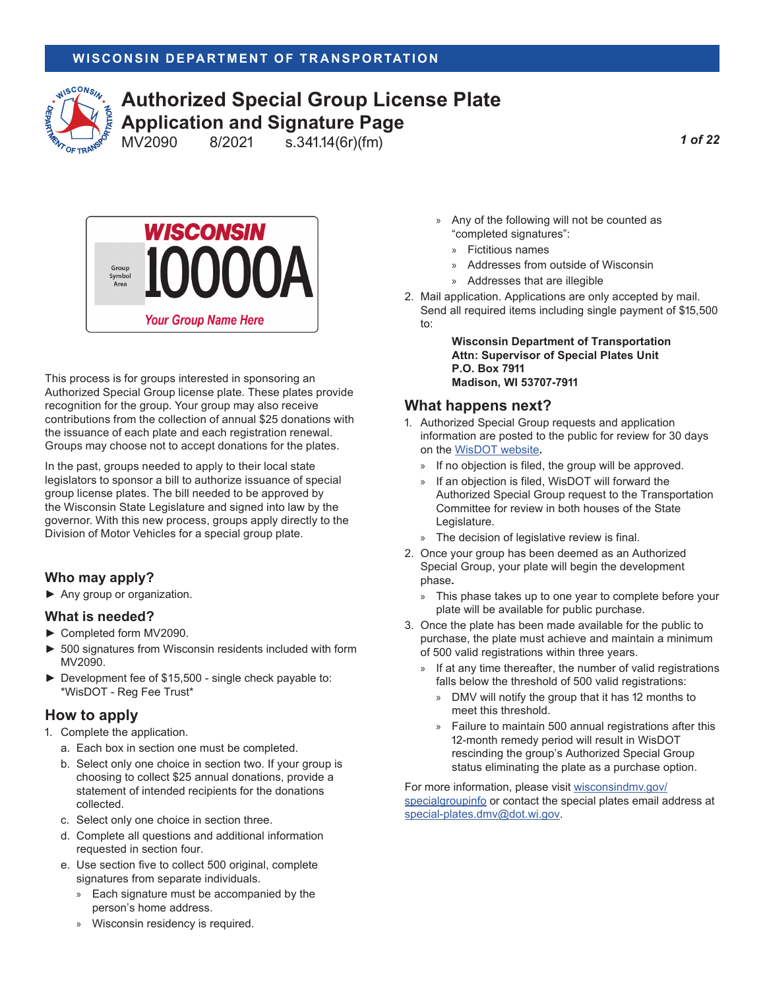

# **Authorized Special Group License Plate Application and Signature Page**<br>MV2090 8/2021 s.341.14(6r)(fm)

s.341.14(6r)(fm)

*1 of 22*



This process is for groups interested in sponsoring an Authorized Special Group license plate. These plates provide recognition for the group. Your group may also receive contributions from the collection of annual \$25 donations with the issuance of each plate and each registration renewal. Groups may choose not to accept donations for the plates.

In the past, groups needed to apply to their local state legislators to sponsor a bill to authorize issuance of special group license plates. The bill needed to be approved by the Wisconsin State Legislature and signed into law by the governor. With this new process, groups apply directly to the Division of Motor Vehicles for a special group plate.

#### **Who may apply?**

► Any group or organization.

#### **What is needed?**

- ► Completed form MV2090.
- ► 500 signatures from Wisconsin residents included with form MV2090.
- ► Development fee of \$15,500 single check payable to: \*WisDOT - Reg Fee Trust\*

#### **How to apply**

- 1. Complete the application.
	- a. Each box in section one must be completed.
	- b. Select only one choice in section two. If your group is choosing to collect \$25 annual donations, provide a statement of intended recipients for the donations collected.
	- c. Select only one choice in section three.
	- d. Complete all questions and additional information requested in section four.
	- e. Use section five to collect 500 original, complete signatures from separate individuals.
		- » Each signature must be accompanied by the person's home address.
		- » Wisconsin residency is required.
- » Any of the following will not be counted as "completed signatures":
	- » Fictitious names
	- » Addresses from outside of Wisconsin
	- » Addresses that are illegible
- 2. Mail application. Applications are only accepted by mail. Send all required items including single payment of \$15,500 to:

**Wisconsin Department of Transportation Attn: Supervisor of Special Plates Unit P.O. Box 7911 Madison, WI 53707-7911**

#### **What happens next?**

- 1. Authorized Special Group requests and application information are posted to the public for review for 30 days on the [WisDOT website](http://wisconsindot.gov/Pages/dmv/vehicles/title-plates/groupreview.aspx)**.**
	- » If no objection is filed, the group will be approved.
	- » If an objection is filed, WisDOT will forward the Authorized Special Group request to the Transportation Committee for review in both houses of the State Legislature.
	- » The decision of legislative review is final.
- 2. Once your group has been deemed as an Authorized Special Group, your plate will begin the development phase**.**
	- » This phase takes up to one year to complete before your plate will be available for public purchase.
- 3. Once the plate has been made available for the public to purchase, the plate must achieve and maintain a minimum of 500 valid registrations within three years.
	- » If at any time thereafter, the number of valid registrations falls below the threshold of 500 valid registrations:
		- » DMV will notify the group that it has 12 months to meet this threshold.
		- » Failure to maintain 500 annual registrations after this 12-month remedy period will result in WisDOT rescinding the group's Authorized Special Group status eliminating the plate as a purchase option.

For more information, please visit wisconsindmy.gov/ [specialgroupinfo](http://wisconsindot.gov/Pages/dmv/vehicles/title-plates/specialgroup.aspx) or contact the special plates email address at [special-plates.dmv@dot.wi.gov](mailto:special-plates.dmv%40dot.wi.gov?subject=Authorized%20Special%20Group%20License%20Plate).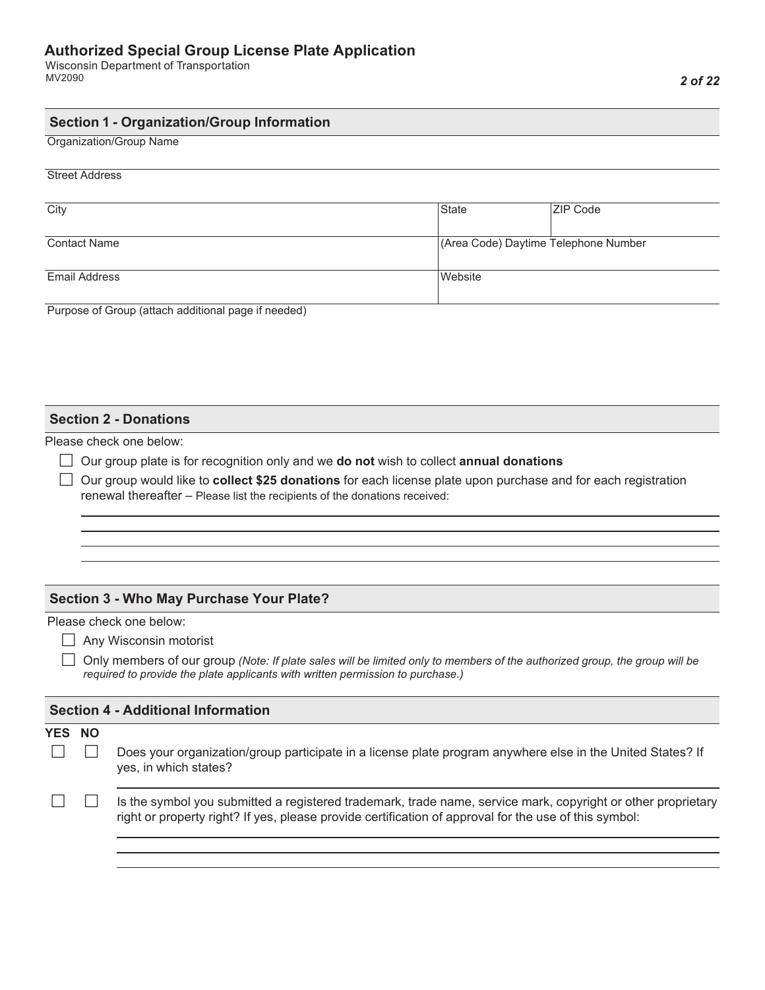Wisconsin Department of Transportation MV2090

#### **Section 1 - Organization/Group Information**

Organization/Group Name

#### Street Address

| City                 | State                                | <b>ZIP Code</b> |
|----------------------|--------------------------------------|-----------------|
| <b>Contact Name</b>  | (Area Code) Daytime Telephone Number |                 |
| <b>Email Address</b> | Website                              |                 |

Purpose of Group (attach additional page if needed)

#### **Section 2 - Donations**

Please check one below:

Our group plate is for recognition only and we **do not** wish to collect **annual donations**

 Our group would like to **collect \$25 donations** for each license plate upon purchase and for each registration renewal thereafter – Please list the recipients of the donations received:

#### **Section 3 - Who May Purchase Your Plate?**

Please check one below:

Any Wisconsin motorist

 Only members of our group *(Note: If plate sales will be limited only to members of the authorized group, the group will be required to provide the plate applicants with written permission to purchase.)*

|        | <b>Section 4 - Additional Information</b> |                                                                                                                                                                                                                       |  |  |  |  |
|--------|-------------------------------------------|-----------------------------------------------------------------------------------------------------------------------------------------------------------------------------------------------------------------------|--|--|--|--|
| YES NO |                                           |                                                                                                                                                                                                                       |  |  |  |  |
|        |                                           | Does your organization/group participate in a license plate program anywhere else in the United States? If<br>yes, in which states?                                                                                   |  |  |  |  |
|        |                                           | Is the symbol you submitted a registered trademark, trade name, service mark, copyright or other proprietary<br>right or property right? If yes, please provide certification of approval for the use of this symbol: |  |  |  |  |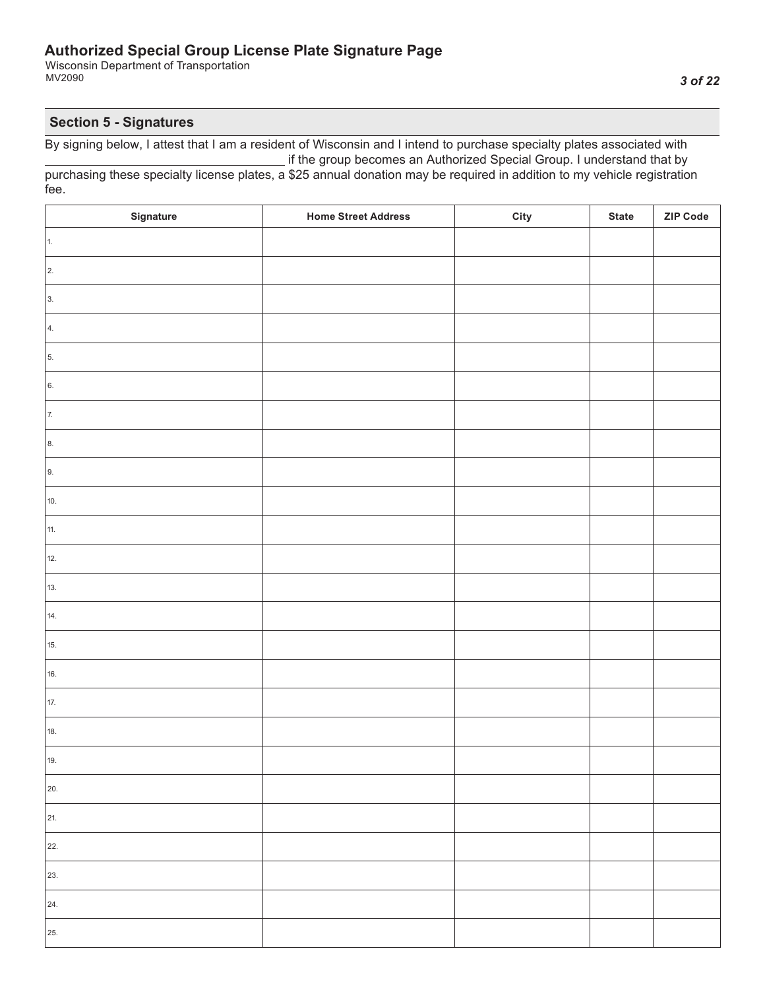Wisconsin Department of Transportation MV2090

## **Section 5 - Signatures**

| Signature  | <b>Home Street Address</b> | City | <b>State</b> | ZIP Code |
|------------|----------------------------|------|--------------|----------|
| 1.         |                            |      |              |          |
| $\vert$ 2. |                            |      |              |          |
| 3.         |                            |      |              |          |
| 4.         |                            |      |              |          |
| 5.         |                            |      |              |          |
| 6.         |                            |      |              |          |
| 7.         |                            |      |              |          |
| 8.         |                            |      |              |          |
| 9.         |                            |      |              |          |
| 10.        |                            |      |              |          |
| 11.        |                            |      |              |          |
| 12.        |                            |      |              |          |
| 13.        |                            |      |              |          |
| 14.        |                            |      |              |          |
| 15.        |                            |      |              |          |
| 16.        |                            |      |              |          |
| 17.        |                            |      |              |          |
| 18.        |                            |      |              |          |
| 19.        |                            |      |              |          |
| 20.        |                            |      |              |          |
| 21.        |                            |      |              |          |
| 22.        |                            |      |              |          |
| 23.        |                            |      |              |          |
| 24.        |                            |      |              |          |
| 25.        |                            |      |              |          |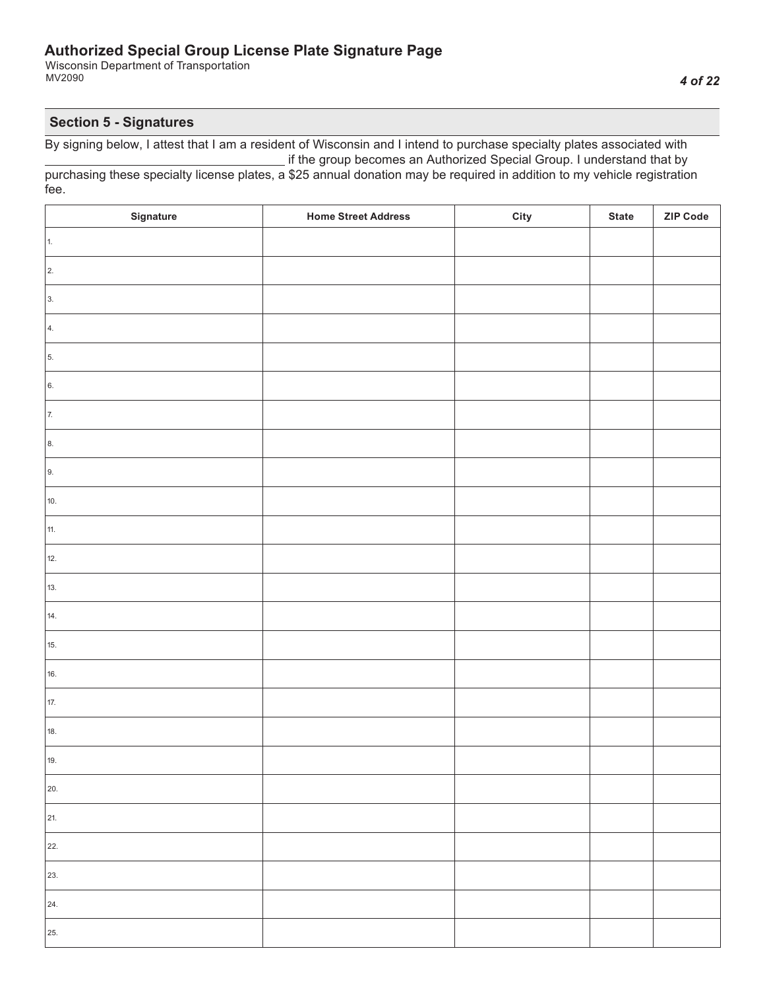Wisconsin Department of Transportation MV2090

## **Section 5 - Signatures**

| Signature  | <b>Home Street Address</b> | City | <b>State</b> | ZIP Code |
|------------|----------------------------|------|--------------|----------|
| 1.         |                            |      |              |          |
| $\vert$ 2. |                            |      |              |          |
| 3.         |                            |      |              |          |
| 4.         |                            |      |              |          |
| 5.         |                            |      |              |          |
| 6.         |                            |      |              |          |
| 7.         |                            |      |              |          |
| 8.         |                            |      |              |          |
| 9.         |                            |      |              |          |
| 10.        |                            |      |              |          |
| 11.        |                            |      |              |          |
| 12.        |                            |      |              |          |
| 13.        |                            |      |              |          |
| 14.        |                            |      |              |          |
| 15.        |                            |      |              |          |
| 16.        |                            |      |              |          |
| 17.        |                            |      |              |          |
| 18.        |                            |      |              |          |
| 19.        |                            |      |              |          |
| 20.        |                            |      |              |          |
| 21.        |                            |      |              |          |
| 22.        |                            |      |              |          |
| 23.        |                            |      |              |          |
| 24.        |                            |      |              |          |
| 25.        |                            |      |              |          |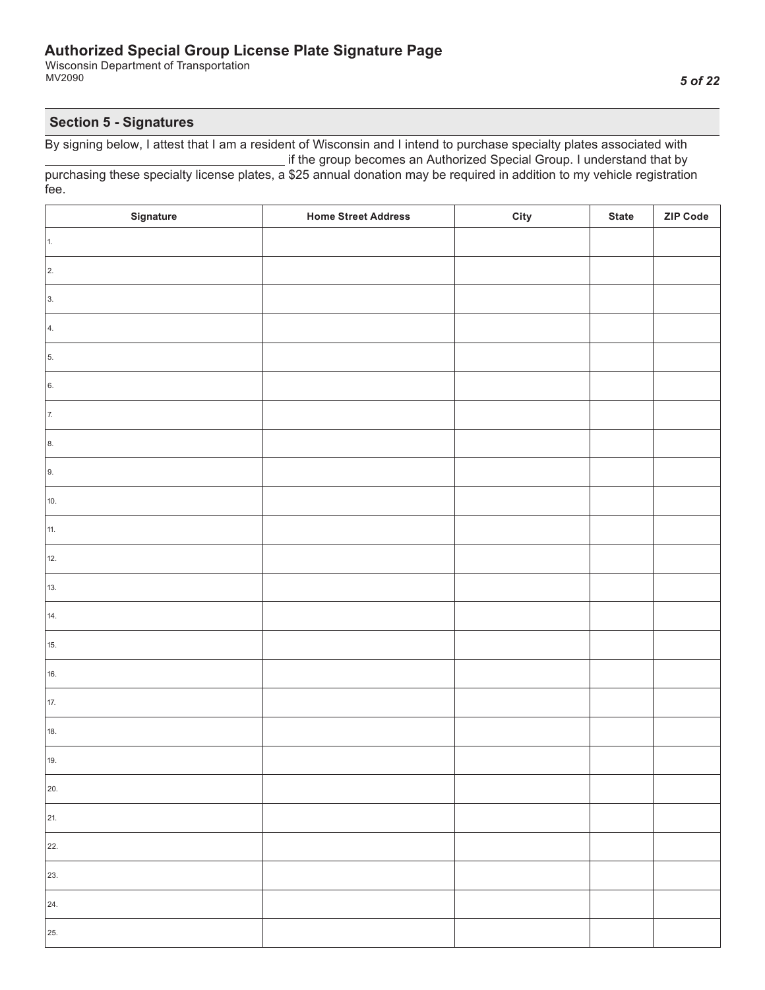Wisconsin Department of Transportation MV2090

## **Section 5 - Signatures**

| Signature  | <b>Home Street Address</b> | City | <b>State</b> | ZIP Code |
|------------|----------------------------|------|--------------|----------|
| 1.         |                            |      |              |          |
| $\vert$ 2. |                            |      |              |          |
| 3.         |                            |      |              |          |
| 4.         |                            |      |              |          |
| 5.         |                            |      |              |          |
| 6.         |                            |      |              |          |
| 7.         |                            |      |              |          |
| 8.         |                            |      |              |          |
| 9.         |                            |      |              |          |
| 10.        |                            |      |              |          |
| 11.        |                            |      |              |          |
| 12.        |                            |      |              |          |
| 13.        |                            |      |              |          |
| 14.        |                            |      |              |          |
| 15.        |                            |      |              |          |
| 16.        |                            |      |              |          |
| 17.        |                            |      |              |          |
| 18.        |                            |      |              |          |
| 19.        |                            |      |              |          |
| 20.        |                            |      |              |          |
| 21.        |                            |      |              |          |
| 22.        |                            |      |              |          |
| 23.        |                            |      |              |          |
| 24.        |                            |      |              |          |
| 25.        |                            |      |              |          |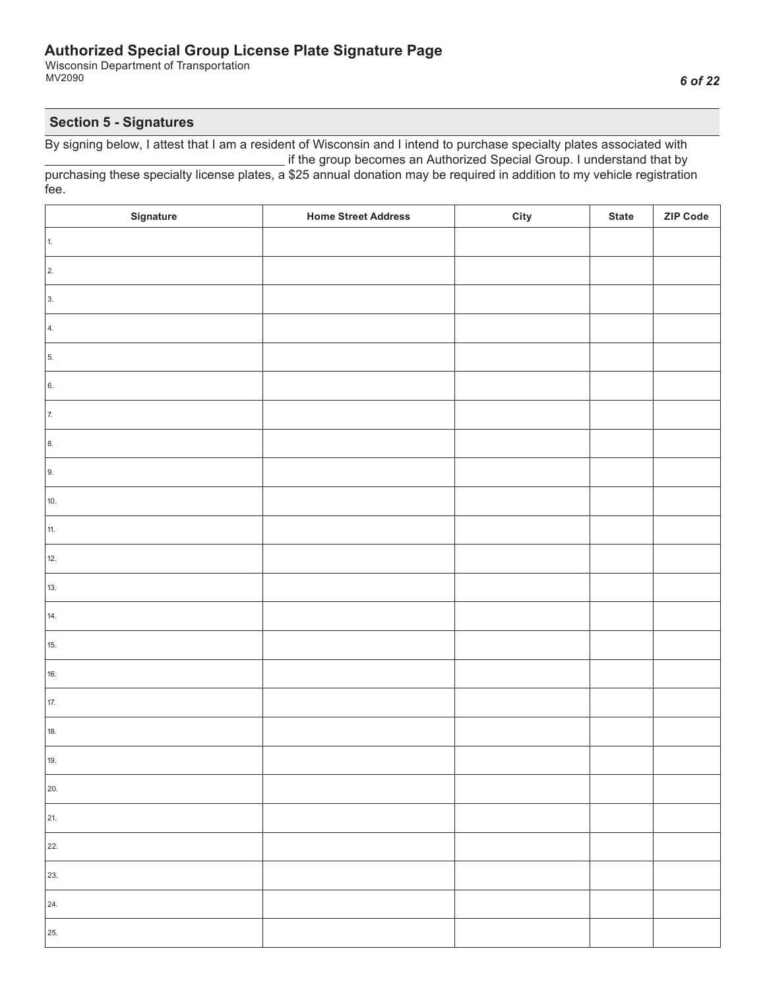Wisconsin Department of Transportation MV2090

#### **Section 5 - Signatures**

| Signature  | <b>Home Street Address</b> | City | <b>State</b> | ZIP Code |
|------------|----------------------------|------|--------------|----------|
| 1.         |                            |      |              |          |
| $\vert$ 2. |                            |      |              |          |
| 3.         |                            |      |              |          |
| 4.         |                            |      |              |          |
| 5.         |                            |      |              |          |
| 6.         |                            |      |              |          |
| 7.         |                            |      |              |          |
| 8.         |                            |      |              |          |
| 9.         |                            |      |              |          |
| 10.        |                            |      |              |          |
| 11.        |                            |      |              |          |
| 12.        |                            |      |              |          |
| 13.        |                            |      |              |          |
| 14.        |                            |      |              |          |
| 15.        |                            |      |              |          |
| 16.        |                            |      |              |          |
| 17.        |                            |      |              |          |
| 18.        |                            |      |              |          |
| 19.        |                            |      |              |          |
| 20.        |                            |      |              |          |
| 21.        |                            |      |              |          |
| 22.        |                            |      |              |          |
| 23.        |                            |      |              |          |
| 24.        |                            |      |              |          |
| 25.        |                            |      |              |          |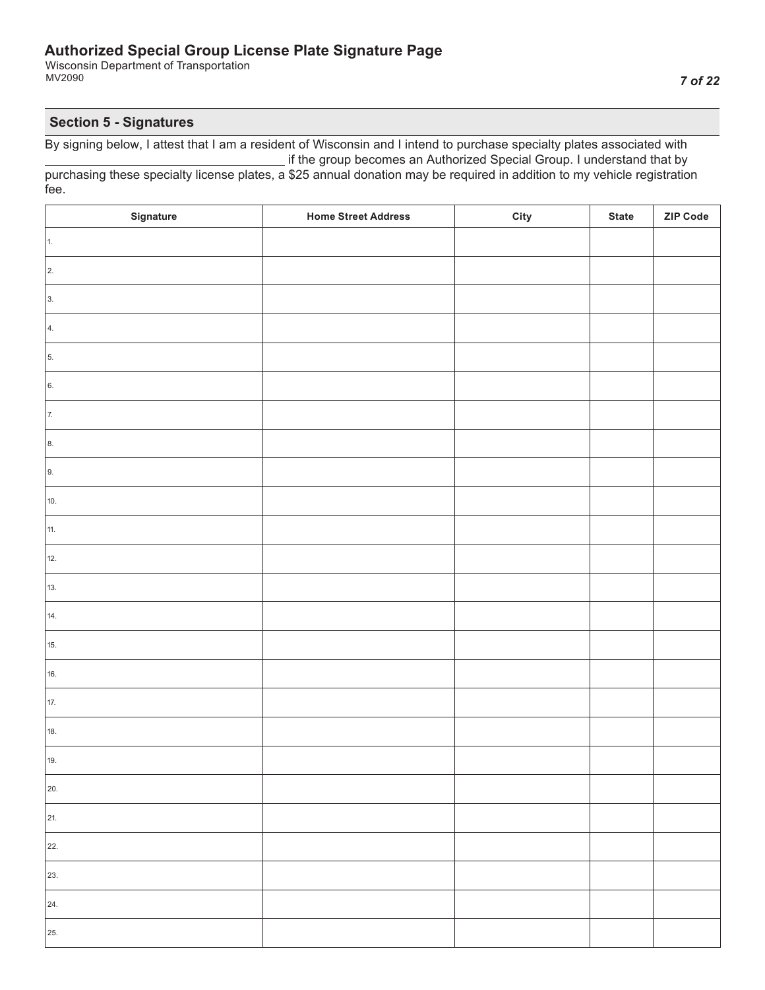Wisconsin Department of Transportation MV2090

## **Section 5 - Signatures**

| Signature  | <b>Home Street Address</b> | City | <b>State</b> | ZIP Code |
|------------|----------------------------|------|--------------|----------|
| 1.         |                            |      |              |          |
| $\vert$ 2. |                            |      |              |          |
| 3.         |                            |      |              |          |
| 4.         |                            |      |              |          |
| 5.         |                            |      |              |          |
| 6.         |                            |      |              |          |
| 7.         |                            |      |              |          |
| 8.         |                            |      |              |          |
| 9.         |                            |      |              |          |
| 10.        |                            |      |              |          |
| 11.        |                            |      |              |          |
| 12.        |                            |      |              |          |
| 13.        |                            |      |              |          |
| 14.        |                            |      |              |          |
| 15.        |                            |      |              |          |
| 16.        |                            |      |              |          |
| 17.        |                            |      |              |          |
| 18.        |                            |      |              |          |
| 19.        |                            |      |              |          |
| 20.        |                            |      |              |          |
| 21.        |                            |      |              |          |
| 22.        |                            |      |              |          |
| 23.        |                            |      |              |          |
| 24.        |                            |      |              |          |
| 25.        |                            |      |              |          |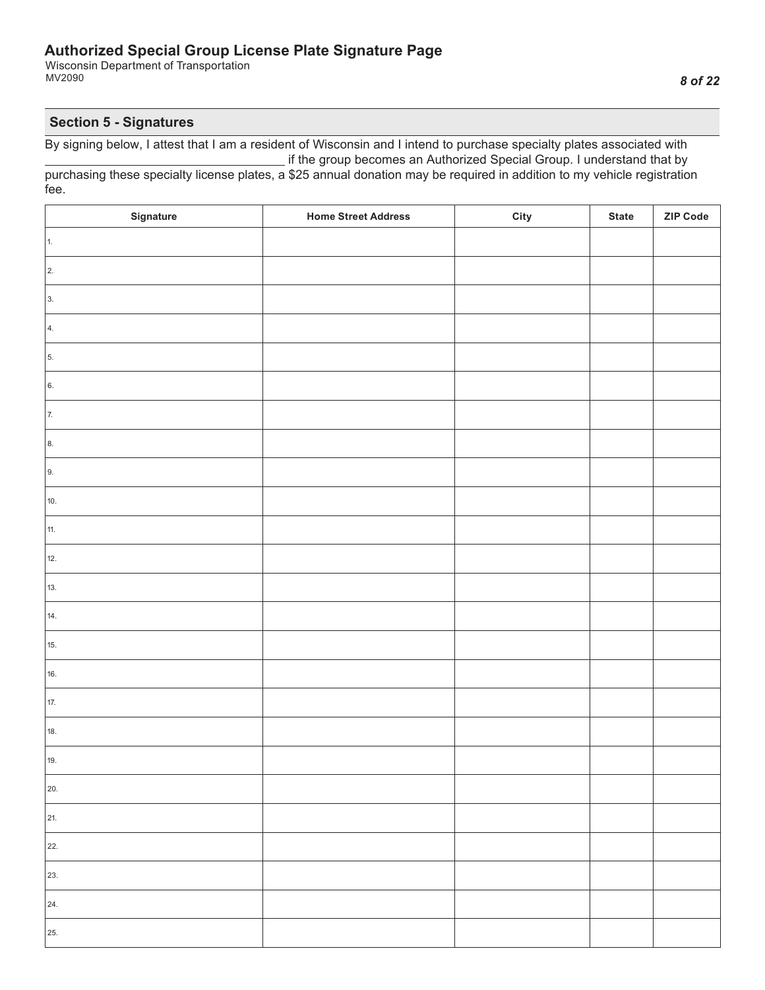Wisconsin Department of Transportation MV2090

#### **Section 5 - Signatures**

| Signature  | <b>Home Street Address</b> | City | <b>State</b> | ZIP Code |
|------------|----------------------------|------|--------------|----------|
| 1.         |                            |      |              |          |
| $\vert$ 2. |                            |      |              |          |
| 3.         |                            |      |              |          |
| 4.         |                            |      |              |          |
| 5.         |                            |      |              |          |
| 6.         |                            |      |              |          |
| 7.         |                            |      |              |          |
| 8.         |                            |      |              |          |
| 9.         |                            |      |              |          |
| 10.        |                            |      |              |          |
| 11.        |                            |      |              |          |
| 12.        |                            |      |              |          |
| 13.        |                            |      |              |          |
| 14.        |                            |      |              |          |
| 15.        |                            |      |              |          |
| 16.        |                            |      |              |          |
| 17.        |                            |      |              |          |
| 18.        |                            |      |              |          |
| 19.        |                            |      |              |          |
| 20.        |                            |      |              |          |
| 21.        |                            |      |              |          |
| 22.        |                            |      |              |          |
| 23.        |                            |      |              |          |
| 24.        |                            |      |              |          |
| 25.        |                            |      |              |          |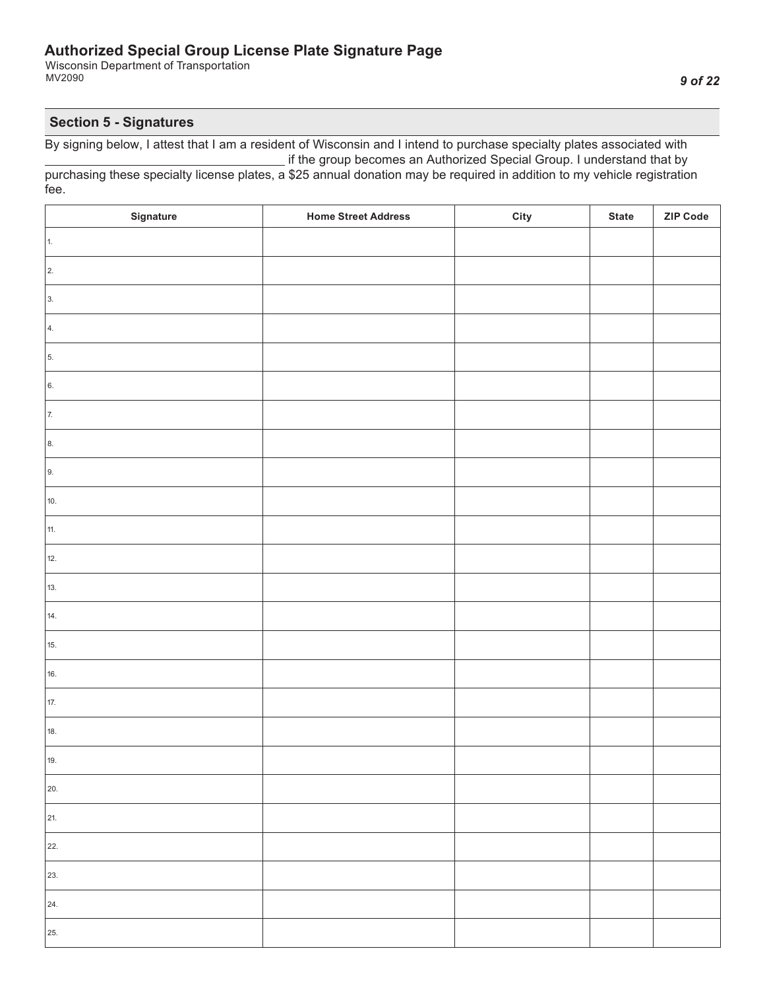Wisconsin Department of Transportation MV2090

## **Section 5 - Signatures**

| Signature  | <b>Home Street Address</b> | City | <b>State</b> | ZIP Code |
|------------|----------------------------|------|--------------|----------|
| 1.         |                            |      |              |          |
| $\vert$ 2. |                            |      |              |          |
| 3.         |                            |      |              |          |
| 4.         |                            |      |              |          |
| 5.         |                            |      |              |          |
| 6.         |                            |      |              |          |
| 7.         |                            |      |              |          |
| 8.         |                            |      |              |          |
| 9.         |                            |      |              |          |
| 10.        |                            |      |              |          |
| 11.        |                            |      |              |          |
| 12.        |                            |      |              |          |
| 13.        |                            |      |              |          |
| 14.        |                            |      |              |          |
| 15.        |                            |      |              |          |
| 16.        |                            |      |              |          |
| 17.        |                            |      |              |          |
| 18.        |                            |      |              |          |
| 19.        |                            |      |              |          |
| 20.        |                            |      |              |          |
| 21.        |                            |      |              |          |
| 22.        |                            |      |              |          |
| 23.        |                            |      |              |          |
| 24.        |                            |      |              |          |
| 25.        |                            |      |              |          |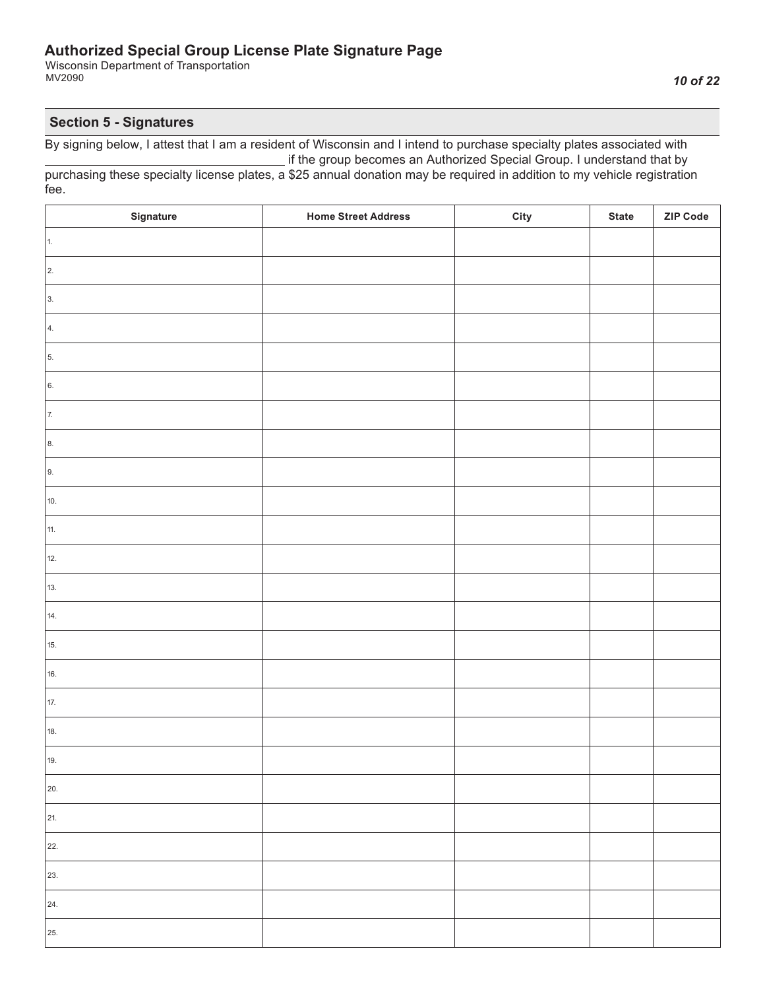Wisconsin Department of Transportation MV2090

#### **Section 5 - Signatures**

| Signature  | <b>Home Street Address</b> | City | <b>State</b> | ZIP Code |
|------------|----------------------------|------|--------------|----------|
| $\vert$ 1. |                            |      |              |          |
| $\vert$ 2. |                            |      |              |          |
| 3.         |                            |      |              |          |
| 4.         |                            |      |              |          |
| 5.         |                            |      |              |          |
| 6.         |                            |      |              |          |
| 7.         |                            |      |              |          |
| 8.         |                            |      |              |          |
| 9.         |                            |      |              |          |
| 10.        |                            |      |              |          |
| 11.        |                            |      |              |          |
| 12.        |                            |      |              |          |
| 13.        |                            |      |              |          |
| 14.        |                            |      |              |          |
| 15.        |                            |      |              |          |
| 16.        |                            |      |              |          |
| 17.        |                            |      |              |          |
| 18.        |                            |      |              |          |
| 19.        |                            |      |              |          |
| 20.        |                            |      |              |          |
| 21.        |                            |      |              |          |
| 22.        |                            |      |              |          |
| 23.        |                            |      |              |          |
| 24.        |                            |      |              |          |
| 25.        |                            |      |              |          |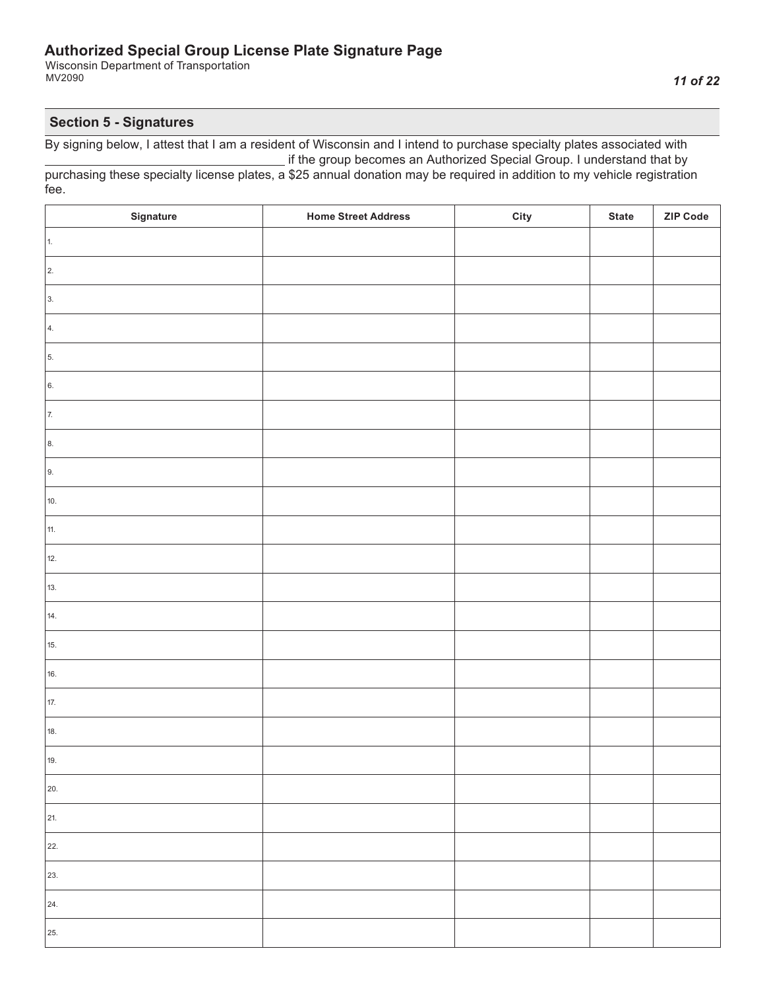Wisconsin Department of Transportation MV2090

## **Section 5 - Signatures**

| Signature  | <b>Home Street Address</b> | City | <b>State</b> | ZIP Code |
|------------|----------------------------|------|--------------|----------|
| 1.         |                            |      |              |          |
| $\vert$ 2. |                            |      |              |          |
| 3.         |                            |      |              |          |
| 4.         |                            |      |              |          |
| 5.         |                            |      |              |          |
| 6.         |                            |      |              |          |
| 7.         |                            |      |              |          |
| 8.         |                            |      |              |          |
| 9.         |                            |      |              |          |
| 10.        |                            |      |              |          |
| 11.        |                            |      |              |          |
| 12.        |                            |      |              |          |
| 13.        |                            |      |              |          |
| 14.        |                            |      |              |          |
| 15.        |                            |      |              |          |
| 16.        |                            |      |              |          |
| 17.        |                            |      |              |          |
| 18.        |                            |      |              |          |
| 19.        |                            |      |              |          |
| 20.        |                            |      |              |          |
| 21.        |                            |      |              |          |
| 22.        |                            |      |              |          |
| 23.        |                            |      |              |          |
| 24.        |                            |      |              |          |
| 25.        |                            |      |              |          |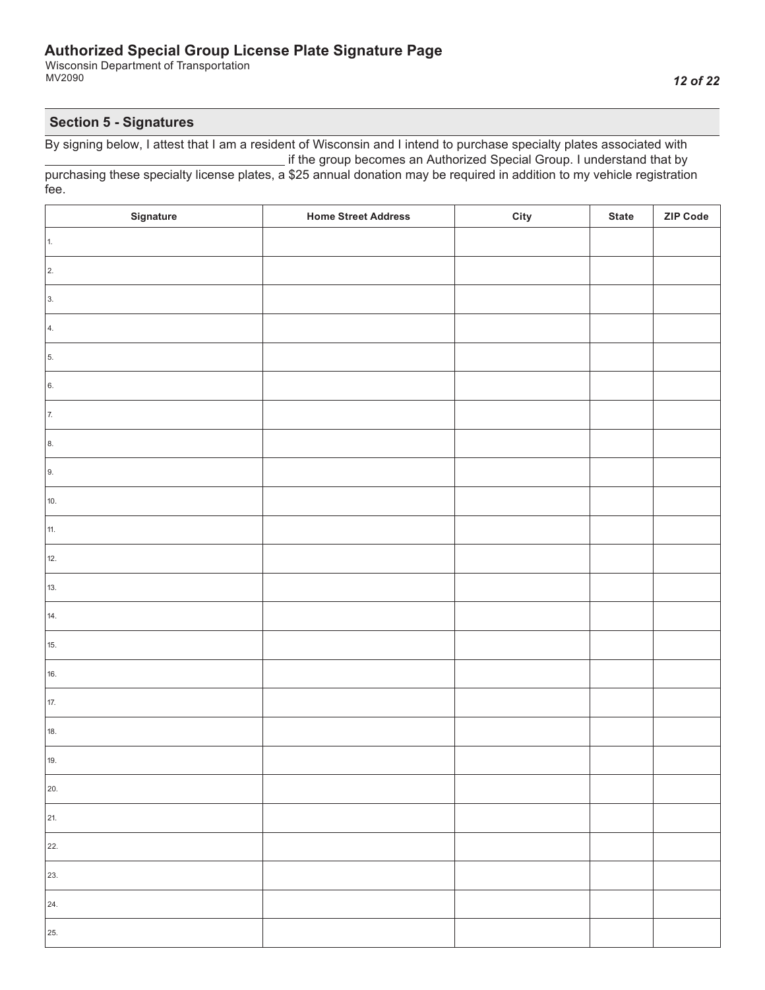Wisconsin Department of Transportation MV2090

## **Section 5 - Signatures**

| Signature  | <b>Home Street Address</b> | City | <b>State</b> | ZIP Code |
|------------|----------------------------|------|--------------|----------|
| 1.         |                            |      |              |          |
| $\vert$ 2. |                            |      |              |          |
| 3.         |                            |      |              |          |
| 4.         |                            |      |              |          |
| 5.         |                            |      |              |          |
| 6.         |                            |      |              |          |
| 7.         |                            |      |              |          |
| 8.         |                            |      |              |          |
| 9.         |                            |      |              |          |
| 10.        |                            |      |              |          |
| 11.        |                            |      |              |          |
| 12.        |                            |      |              |          |
| 13.        |                            |      |              |          |
| 14.        |                            |      |              |          |
| 15.        |                            |      |              |          |
| 16.        |                            |      |              |          |
| 17.        |                            |      |              |          |
| 18.        |                            |      |              |          |
| 19.        |                            |      |              |          |
| 20.        |                            |      |              |          |
| 21.        |                            |      |              |          |
| 22.        |                            |      |              |          |
| 23.        |                            |      |              |          |
| 24.        |                            |      |              |          |
| 25.        |                            |      |              |          |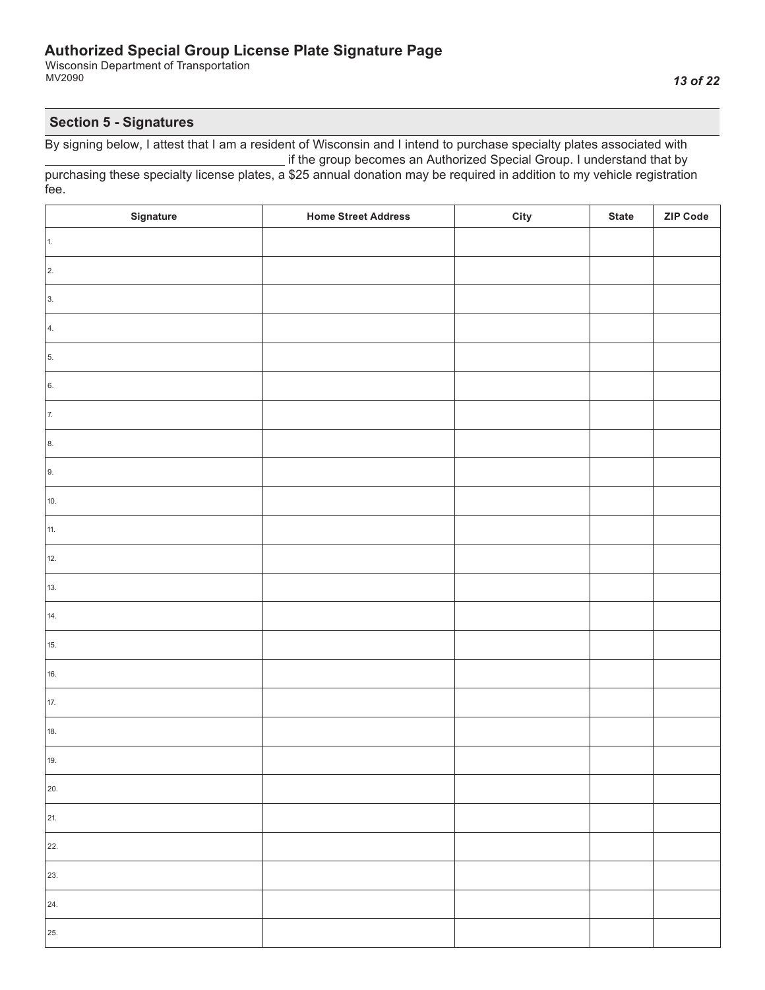Wisconsin Department of Transportation MV2090

## **Section 5 - Signatures**

| Signature  | <b>Home Street Address</b> | City | <b>State</b> | ZIP Code |
|------------|----------------------------|------|--------------|----------|
| $\vert$ 1. |                            |      |              |          |
| $\vert$ 2. |                            |      |              |          |
| 3.         |                            |      |              |          |
| 4.         |                            |      |              |          |
| 5.         |                            |      |              |          |
| 6.         |                            |      |              |          |
| 7.         |                            |      |              |          |
| 8.         |                            |      |              |          |
| 9.         |                            |      |              |          |
| 10.        |                            |      |              |          |
| 11.        |                            |      |              |          |
| 12.        |                            |      |              |          |
| 13.        |                            |      |              |          |
| 14.        |                            |      |              |          |
| 15.        |                            |      |              |          |
| 16.        |                            |      |              |          |
| 17.        |                            |      |              |          |
| 18.        |                            |      |              |          |
| 19.        |                            |      |              |          |
| 20.        |                            |      |              |          |
| 21.        |                            |      |              |          |
| 22.        |                            |      |              |          |
| 23.        |                            |      |              |          |
| 24.        |                            |      |              |          |
| 25.        |                            |      |              |          |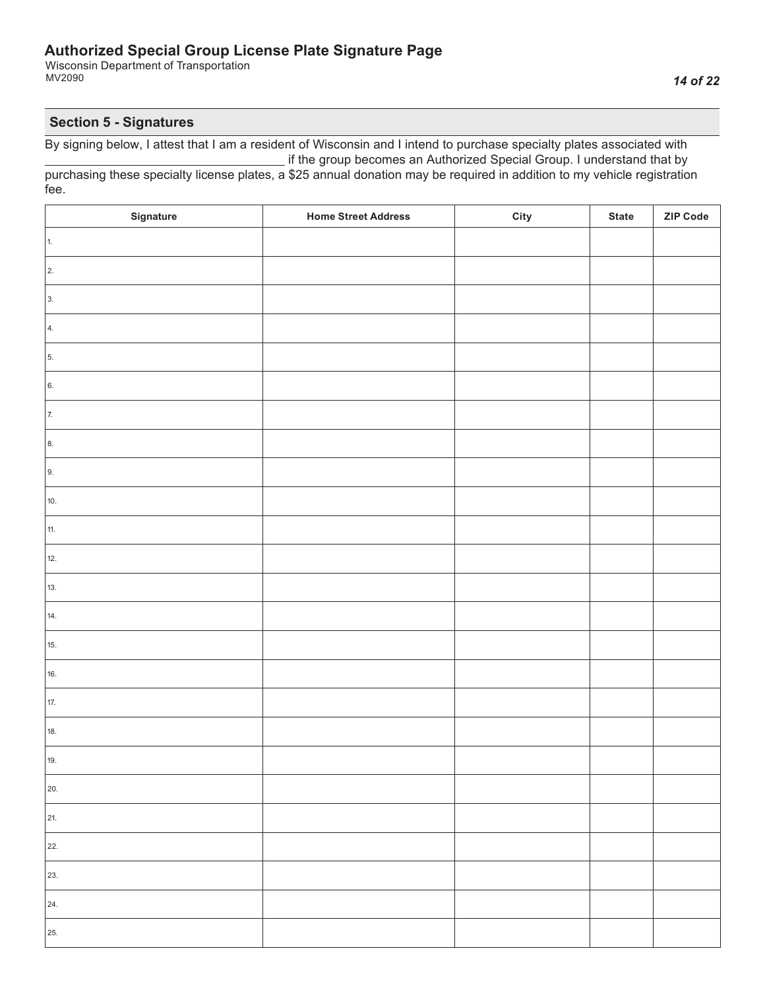Wisconsin Department of Transportation MV2090

## **Section 5 - Signatures**

| Signature  | <b>Home Street Address</b> | City | <b>State</b> | ZIP Code |
|------------|----------------------------|------|--------------|----------|
| $\vert$ 1. |                            |      |              |          |
| $\vert$ 2. |                            |      |              |          |
| 3.         |                            |      |              |          |
| 4.         |                            |      |              |          |
| 5.         |                            |      |              |          |
| 6.         |                            |      |              |          |
| 7.         |                            |      |              |          |
| 8.         |                            |      |              |          |
| 9.         |                            |      |              |          |
| 10.        |                            |      |              |          |
| 11.        |                            |      |              |          |
| 12.        |                            |      |              |          |
| 13.        |                            |      |              |          |
| 14.        |                            |      |              |          |
| 15.        |                            |      |              |          |
| 16.        |                            |      |              |          |
| 17.        |                            |      |              |          |
| 18.        |                            |      |              |          |
| 19.        |                            |      |              |          |
| 20.        |                            |      |              |          |
| 21.        |                            |      |              |          |
| 22.        |                            |      |              |          |
| 23.        |                            |      |              |          |
| 24.        |                            |      |              |          |
| 25.        |                            |      |              |          |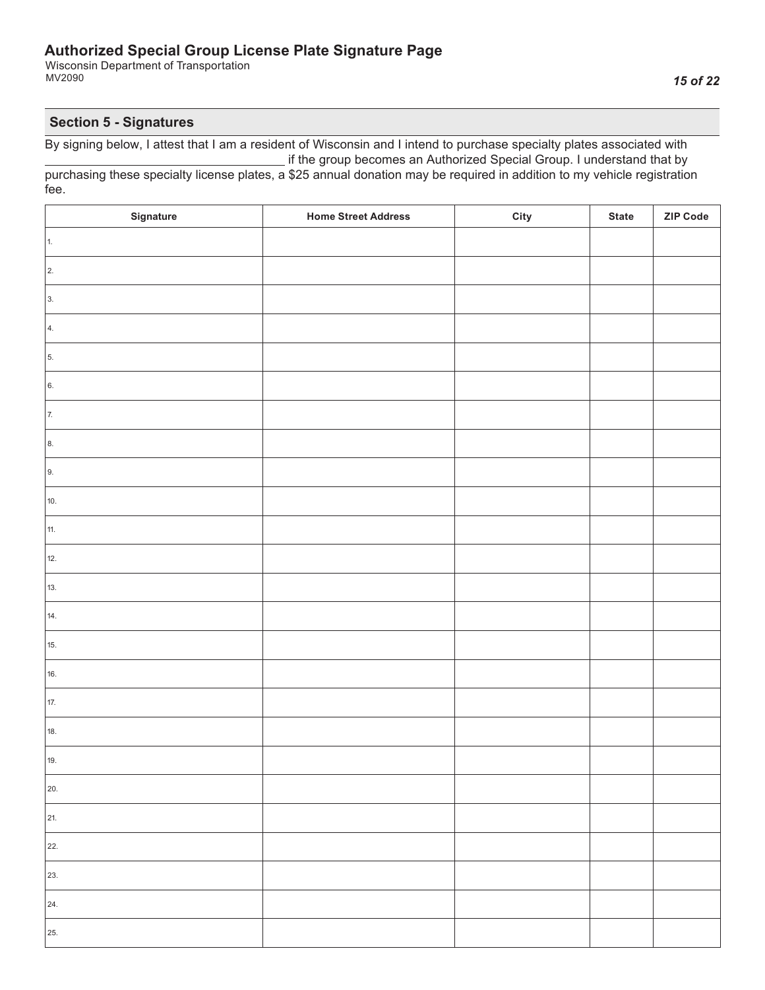Wisconsin Department of Transportation MV2090

## **Section 5 - Signatures**

| Signature  | <b>Home Street Address</b> | City | <b>State</b> | <b>ZIP Code</b> |
|------------|----------------------------|------|--------------|-----------------|
| 1.         |                            |      |              |                 |
| $\vert$ 2. |                            |      |              |                 |
| 3.         |                            |      |              |                 |
| 4.         |                            |      |              |                 |
| 5.         |                            |      |              |                 |
| 6.         |                            |      |              |                 |
| 7.         |                            |      |              |                 |
| 8.         |                            |      |              |                 |
| 9.         |                            |      |              |                 |
| 10.        |                            |      |              |                 |
| 11.        |                            |      |              |                 |
| 12.        |                            |      |              |                 |
| 13.        |                            |      |              |                 |
| 14.        |                            |      |              |                 |
| 15.        |                            |      |              |                 |
| 16.        |                            |      |              |                 |
| 17.        |                            |      |              |                 |
| 18.        |                            |      |              |                 |
| 19.        |                            |      |              |                 |
| 20.        |                            |      |              |                 |
| 21.        |                            |      |              |                 |
| 22.        |                            |      |              |                 |
| 23.        |                            |      |              |                 |
| 24.        |                            |      |              |                 |
| 25.        |                            |      |              |                 |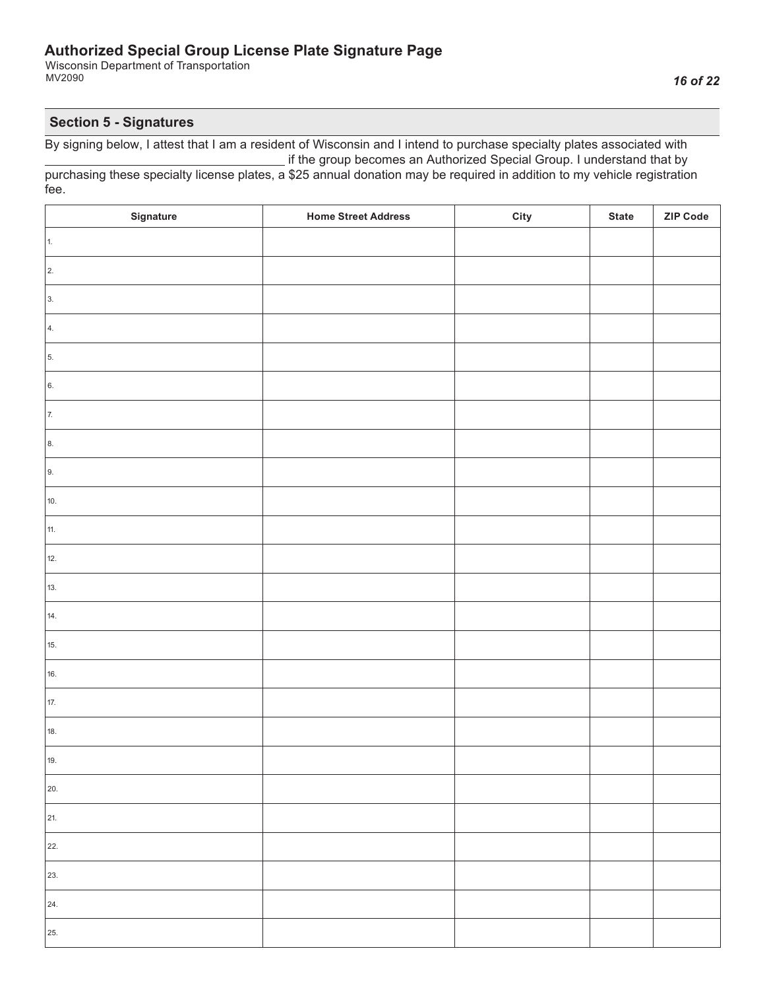Wisconsin Department of Transportation MV2090

## **Section 5 - Signatures**

| Signature  | <b>Home Street Address</b> | City | <b>State</b> | <b>ZIP Code</b> |
|------------|----------------------------|------|--------------|-----------------|
| 1.         |                            |      |              |                 |
| $\vert$ 2. |                            |      |              |                 |
| 3.         |                            |      |              |                 |
| 4.         |                            |      |              |                 |
| 5.         |                            |      |              |                 |
| 6.         |                            |      |              |                 |
| 7.         |                            |      |              |                 |
| 8.         |                            |      |              |                 |
| 9.         |                            |      |              |                 |
| 10.        |                            |      |              |                 |
| 11.        |                            |      |              |                 |
| 12.        |                            |      |              |                 |
| 13.        |                            |      |              |                 |
| 14.        |                            |      |              |                 |
| 15.        |                            |      |              |                 |
| 16.        |                            |      |              |                 |
| 17.        |                            |      |              |                 |
| 18.        |                            |      |              |                 |
| 19.        |                            |      |              |                 |
| 20.        |                            |      |              |                 |
| 21.        |                            |      |              |                 |
| 22.        |                            |      |              |                 |
| 23.        |                            |      |              |                 |
| 24.        |                            |      |              |                 |
| 25.        |                            |      |              |                 |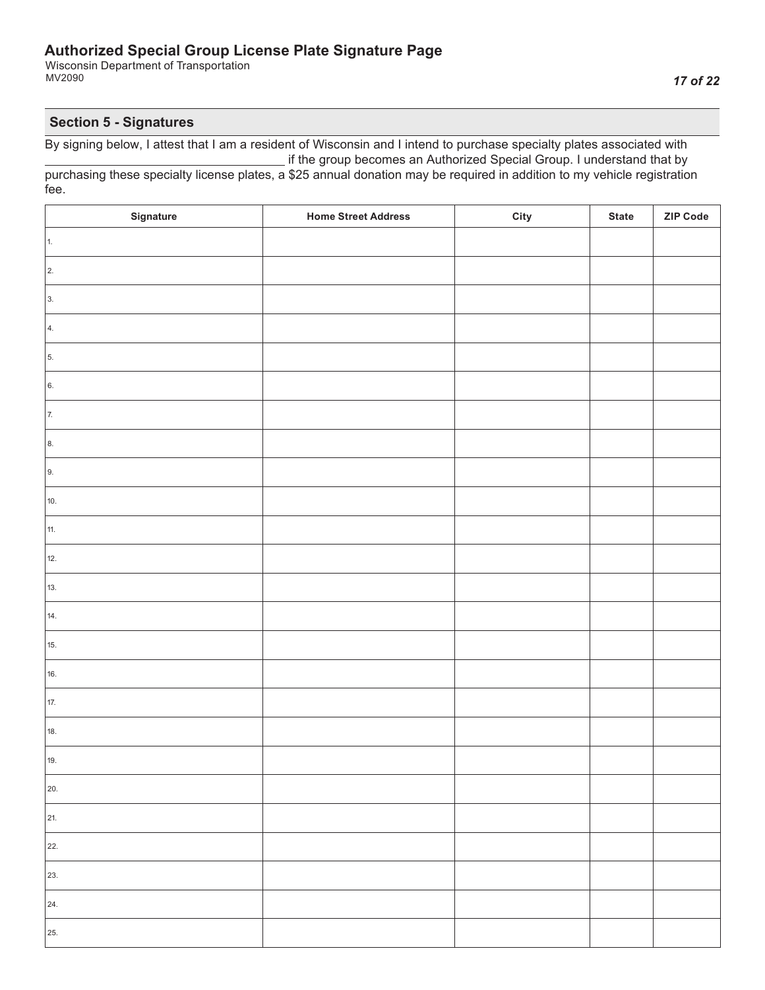Wisconsin Department of Transportation MV2090

## **Section 5 - Signatures**

| Signature  | <b>Home Street Address</b> | City | <b>State</b> | ZIP Code |
|------------|----------------------------|------|--------------|----------|
| 1.         |                            |      |              |          |
| $\vert$ 2. |                            |      |              |          |
| 3.         |                            |      |              |          |
| 4.         |                            |      |              |          |
| 5.         |                            |      |              |          |
| 6.         |                            |      |              |          |
| 7.         |                            |      |              |          |
| 8.         |                            |      |              |          |
| 9.         |                            |      |              |          |
| 10.        |                            |      |              |          |
| 11.        |                            |      |              |          |
| 12.        |                            |      |              |          |
| 13.        |                            |      |              |          |
| 14.        |                            |      |              |          |
| 15.        |                            |      |              |          |
| 16.        |                            |      |              |          |
| 17.        |                            |      |              |          |
| 18.        |                            |      |              |          |
| 19.        |                            |      |              |          |
| 20.        |                            |      |              |          |
| 21.        |                            |      |              |          |
| 22.        |                            |      |              |          |
| 23.        |                            |      |              |          |
| 24.        |                            |      |              |          |
| 25.        |                            |      |              |          |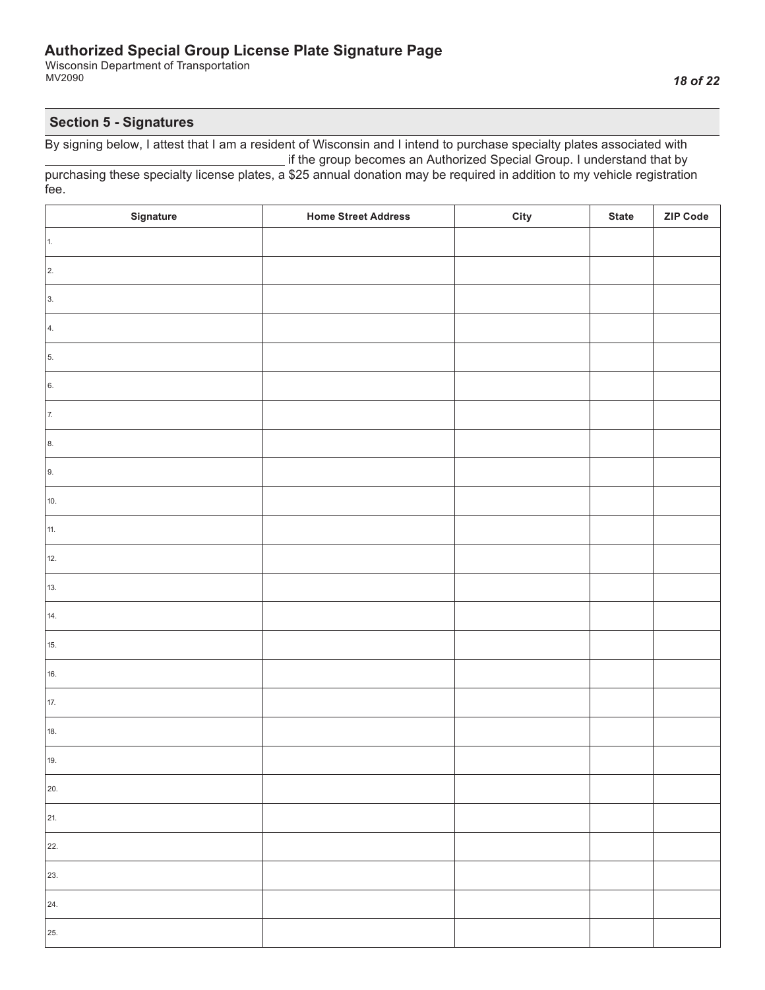Wisconsin Department of Transportation MV2090

## **Section 5 - Signatures**

| Signature  | <b>Home Street Address</b> | City | <b>State</b> | <b>ZIP Code</b> |
|------------|----------------------------|------|--------------|-----------------|
| 1.         |                            |      |              |                 |
| $\vert$ 2. |                            |      |              |                 |
| 3.         |                            |      |              |                 |
| 4.         |                            |      |              |                 |
| 5.         |                            |      |              |                 |
| 6.         |                            |      |              |                 |
| 7.         |                            |      |              |                 |
| 8.         |                            |      |              |                 |
| 9.         |                            |      |              |                 |
| 10.        |                            |      |              |                 |
| 11.        |                            |      |              |                 |
| 12.        |                            |      |              |                 |
| 13.        |                            |      |              |                 |
| 14.        |                            |      |              |                 |
| 15.        |                            |      |              |                 |
| 16.        |                            |      |              |                 |
| 17.        |                            |      |              |                 |
| 18.        |                            |      |              |                 |
| 19.        |                            |      |              |                 |
| 20.        |                            |      |              |                 |
| 21.        |                            |      |              |                 |
| 22.        |                            |      |              |                 |
| 23.        |                            |      |              |                 |
| 24.        |                            |      |              |                 |
| 25.        |                            |      |              |                 |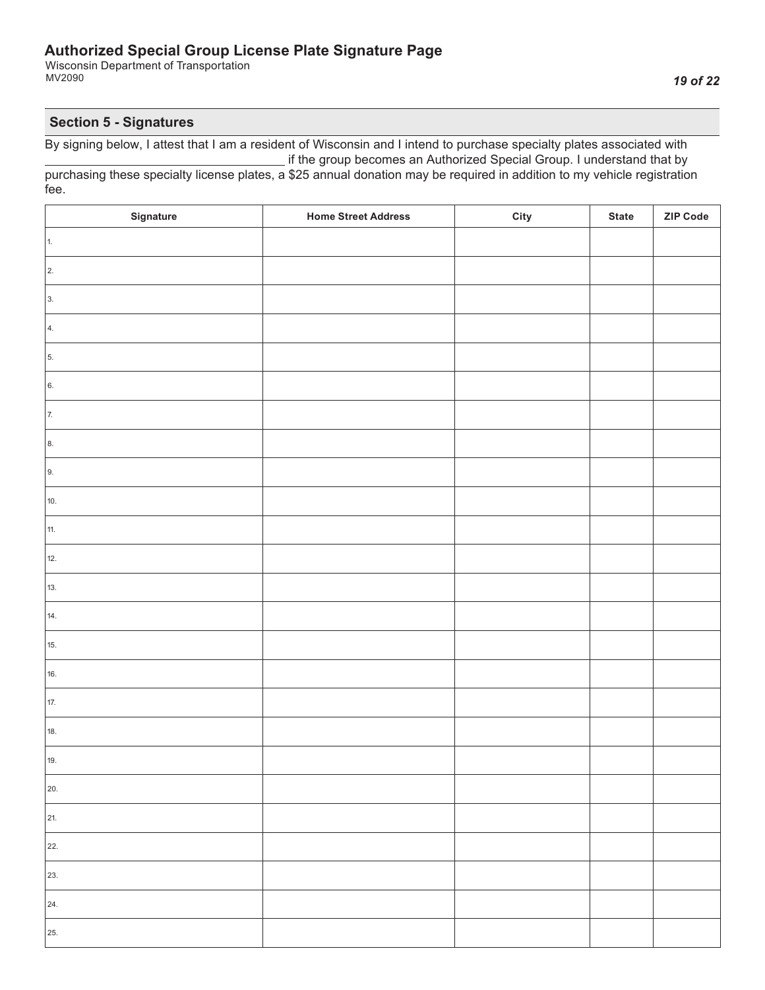Wisconsin Department of Transportation MV2090

## **Section 5 - Signatures**

| Signature  | <b>Home Street Address</b> | City | <b>State</b> | ZIP Code |
|------------|----------------------------|------|--------------|----------|
| 1.         |                            |      |              |          |
| $\vert$ 2. |                            |      |              |          |
| 3.         |                            |      |              |          |
| 4.         |                            |      |              |          |
| 5.         |                            |      |              |          |
| 6.         |                            |      |              |          |
| 7.         |                            |      |              |          |
| 8.         |                            |      |              |          |
| 9.         |                            |      |              |          |
| 10.        |                            |      |              |          |
| 11.        |                            |      |              |          |
| 12.        |                            |      |              |          |
| 13.        |                            |      |              |          |
| 14.        |                            |      |              |          |
| 15.        |                            |      |              |          |
| 16.        |                            |      |              |          |
| 17.        |                            |      |              |          |
| 18.        |                            |      |              |          |
| 19.        |                            |      |              |          |
| 20.        |                            |      |              |          |
| 21.        |                            |      |              |          |
| 22.        |                            |      |              |          |
| 23.        |                            |      |              |          |
| 24.        |                            |      |              |          |
| 25.        |                            |      |              |          |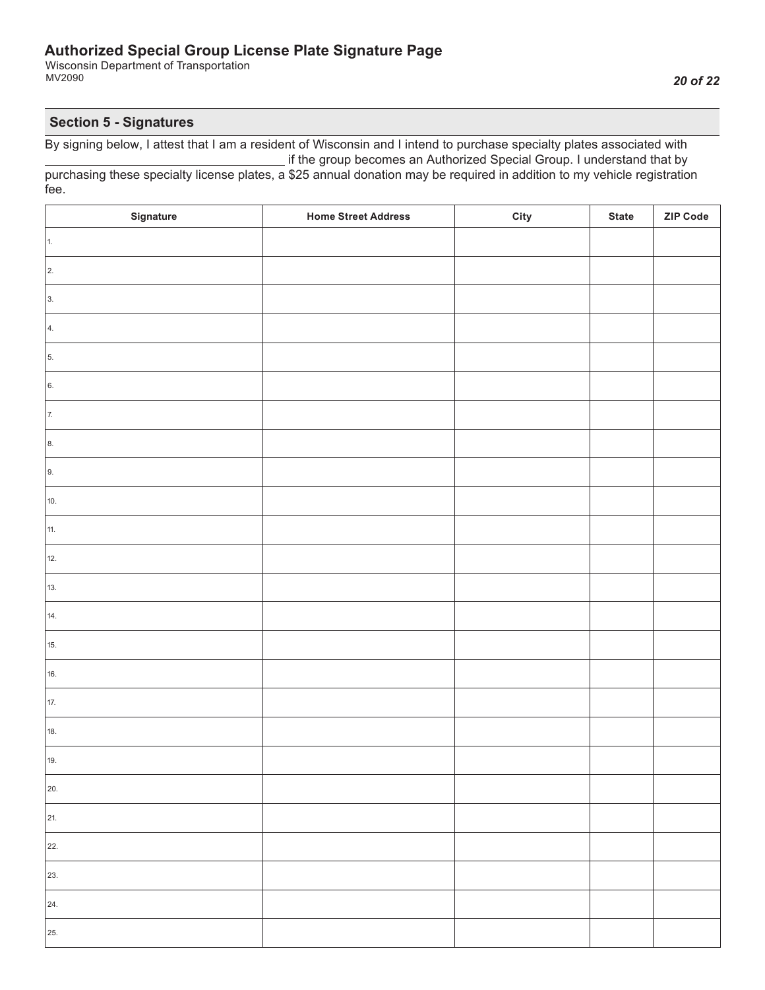Wisconsin Department of Transportation MV2090

#### **Section 5 - Signatures**

| Signature  | <b>Home Street Address</b> | City | <b>State</b> | ZIP Code |
|------------|----------------------------|------|--------------|----------|
| $\vert$ 1. |                            |      |              |          |
| $\vert$ 2. |                            |      |              |          |
| 3.         |                            |      |              |          |
| 4.         |                            |      |              |          |
| 5.         |                            |      |              |          |
| 6.         |                            |      |              |          |
| 7.         |                            |      |              |          |
| 8.         |                            |      |              |          |
| 9.         |                            |      |              |          |
| 10.        |                            |      |              |          |
| 11.        |                            |      |              |          |
| 12.        |                            |      |              |          |
| 13.        |                            |      |              |          |
| 14.        |                            |      |              |          |
| 15.        |                            |      |              |          |
| 16.        |                            |      |              |          |
| 17.        |                            |      |              |          |
| 18.        |                            |      |              |          |
| 19.        |                            |      |              |          |
| 20.        |                            |      |              |          |
| 21.        |                            |      |              |          |
| 22.        |                            |      |              |          |
| 23.        |                            |      |              |          |
| 24.        |                            |      |              |          |
| 25.        |                            |      |              |          |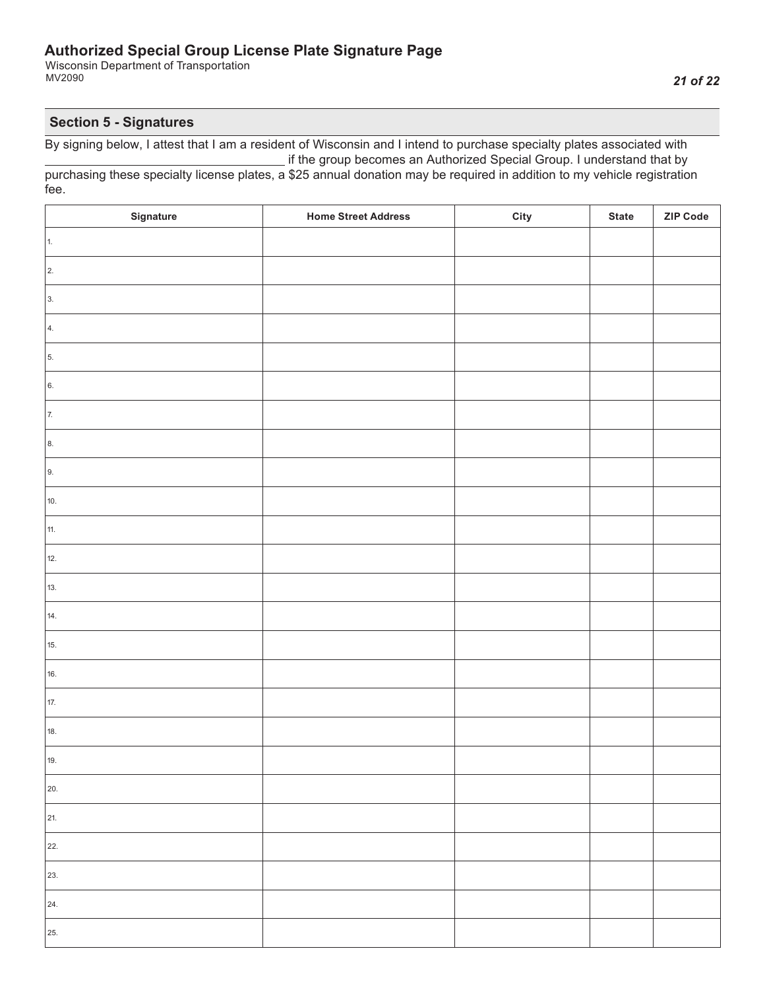Wisconsin Department of Transportation MV2090

## **Section 5 - Signatures**

| Signature  | <b>Home Street Address</b> | City | <b>State</b> | ZIP Code |
|------------|----------------------------|------|--------------|----------|
| 1.         |                            |      |              |          |
| $\vert$ 2. |                            |      |              |          |
| 3.         |                            |      |              |          |
| 4.         |                            |      |              |          |
| 5.         |                            |      |              |          |
| 6.         |                            |      |              |          |
| 7.         |                            |      |              |          |
| 8.         |                            |      |              |          |
| 9.         |                            |      |              |          |
| 10.        |                            |      |              |          |
| 11.        |                            |      |              |          |
| 12.        |                            |      |              |          |
| 13.        |                            |      |              |          |
| 14.        |                            |      |              |          |
| 15.        |                            |      |              |          |
| 16.        |                            |      |              |          |
| 17.        |                            |      |              |          |
| 18.        |                            |      |              |          |
| 19.        |                            |      |              |          |
| 20.        |                            |      |              |          |
| 21.        |                            |      |              |          |
| 22.        |                            |      |              |          |
| 23.        |                            |      |              |          |
| 24.        |                            |      |              |          |
| 25.        |                            |      |              |          |